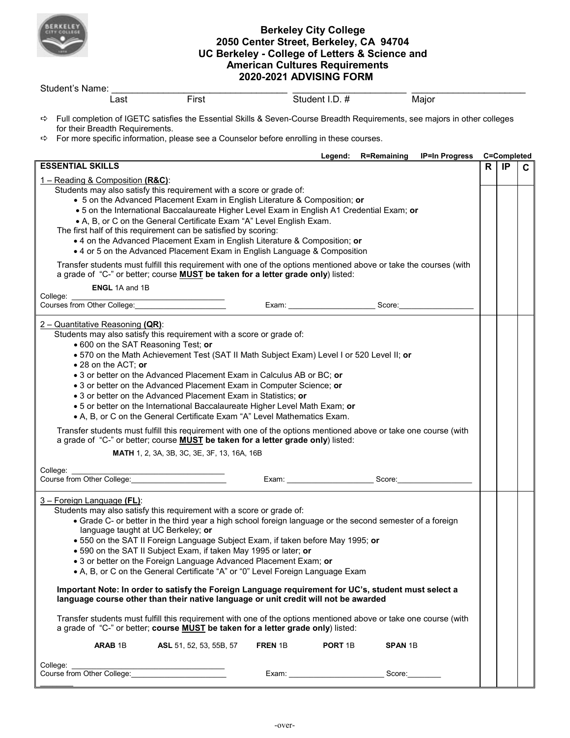

## **Berkeley City College 2050 Center Street, Berkeley, CA 94704 UC Berkeley - College of Letters & Science and American Cultures Requirements 2020-2021 ADVISING FORM**

| Student's Name:                                                                                                                                                                                                                                                                                                                                                                                                                                                                                                                                                                                                                                                                                                                                                                                                                                                                                                                                                                                                                                                                                                                                                          |                                                                                          |  |                            |                     |                       |   |             |  |
|--------------------------------------------------------------------------------------------------------------------------------------------------------------------------------------------------------------------------------------------------------------------------------------------------------------------------------------------------------------------------------------------------------------------------------------------------------------------------------------------------------------------------------------------------------------------------------------------------------------------------------------------------------------------------------------------------------------------------------------------------------------------------------------------------------------------------------------------------------------------------------------------------------------------------------------------------------------------------------------------------------------------------------------------------------------------------------------------------------------------------------------------------------------------------|------------------------------------------------------------------------------------------|--|----------------------------|---------------------|-----------------------|---|-------------|--|
| Last                                                                                                                                                                                                                                                                                                                                                                                                                                                                                                                                                                                                                                                                                                                                                                                                                                                                                                                                                                                                                                                                                                                                                                     | First                                                                                    |  | Student I.D. #             |                     | Major                 |   |             |  |
| → Full completion of IGETC satisfies the Essential Skills & Seven-Course Breadth Requirements, see majors in other colleges<br>for their Breadth Requirements.<br>⇨                                                                                                                                                                                                                                                                                                                                                                                                                                                                                                                                                                                                                                                                                                                                                                                                                                                                                                                                                                                                      | For more specific information, please see a Counselor before enrolling in these courses. |  |                            |                     |                       |   |             |  |
|                                                                                                                                                                                                                                                                                                                                                                                                                                                                                                                                                                                                                                                                                                                                                                                                                                                                                                                                                                                                                                                                                                                                                                          |                                                                                          |  |                            | Legend: R=Remaining | <b>IP=In Progress</b> |   | C=Completed |  |
| <b>ESSENTIAL SKILLS</b>                                                                                                                                                                                                                                                                                                                                                                                                                                                                                                                                                                                                                                                                                                                                                                                                                                                                                                                                                                                                                                                                                                                                                  |                                                                                          |  |                            | R                   | IP                    | C |             |  |
| 1 - Reading & Composition (R&C):<br>Students may also satisfy this requirement with a score or grade of:<br>• 5 on the Advanced Placement Exam in English Literature & Composition; or<br>. 5 on the International Baccalaureate Higher Level Exam in English A1 Credential Exam; or<br>• A, B, or C on the General Certificate Exam "A" Level English Exam.<br>The first half of this requirement can be satisfied by scoring:<br>• 4 on the Advanced Placement Exam in English Literature & Composition; or<br>• 4 or 5 on the Advanced Placement Exam in English Language & Composition<br>Transfer students must fulfill this requirement with one of the options mentioned above or take the courses (with<br>a grade of "C-" or better; course <b>MUST</b> be taken for a letter grade only) listed:                                                                                                                                                                                                                                                                                                                                                               |                                                                                          |  |                            |                     |                       |   |             |  |
| ENGL 1A and 1B                                                                                                                                                                                                                                                                                                                                                                                                                                                                                                                                                                                                                                                                                                                                                                                                                                                                                                                                                                                                                                                                                                                                                           |                                                                                          |  |                            |                     |                       |   |             |  |
| College:<br>Courses from Other College:                                                                                                                                                                                                                                                                                                                                                                                                                                                                                                                                                                                                                                                                                                                                                                                                                                                                                                                                                                                                                                                                                                                                  |                                                                                          |  |                            | Score:              |                       |   |             |  |
| Students may also satisfy this requirement with a score or grade of:<br>. 600 on the SAT Reasoning Test; or<br>. 570 on the Math Achievement Test (SAT II Math Subject Exam) Level I or 520 Level II; or<br>• 28 on the ACT; or<br>• 3 or better on the Advanced Placement Exam in Calculus AB or BC; or<br>• 3 or better on the Advanced Placement Exam in Computer Science; or<br>• 3 or better on the Advanced Placement Exam in Statistics; or<br>. 5 or better on the International Baccalaureate Higher Level Math Exam; or<br>• A, B, or C on the General Certificate Exam "A" Level Mathematics Exam.<br>Transfer students must fulfill this requirement with one of the options mentioned above or take one course (with<br>a grade of "C-" or better; course <b>MUST</b> be taken for a letter grade only) listed:<br>MATH 1, 2, 3A, 3B, 3C, 3E, 3F, 13, 16A, 16B                                                                                                                                                                                                                                                                                              |                                                                                          |  |                            |                     |                       |   |             |  |
| College:<br>Course from Other College: Market Market Market Market Market Market Market Market Market Market Market Market                                                                                                                                                                                                                                                                                                                                                                                                                                                                                                                                                                                                                                                                                                                                                                                                                                                                                                                                                                                                                                               |                                                                                          |  | Exam: ____________________ | Score:              |                       |   |             |  |
| 3 – Foreign Language (FL):<br>Students may also satisfy this requirement with a score or grade of:<br>• Grade C- or better in the third year a high school foreign language or the second semester of a foreign<br>language taught at UC Berkeley; or<br>. 550 on the SAT II Foreign Language Subject Exam, if taken before May 1995; or<br>. 590 on the SAT II Subject Exam, if taken May 1995 or later; or<br>• 3 or better on the Foreign Language Advanced Placement Exam; or<br>• A, B, or C on the General Certificate "A" or "0" Level Foreign Language Exam<br>Important Note: In order to satisfy the Foreign Language requirement for UC's, student must select a<br>language course other than their native language or unit credit will not be awarded<br>Transfer students must fulfill this requirement with one of the options mentioned above or take one course (with<br>a grade of "C-" or better; course <b>MUST</b> be taken for a letter grade only) listed:<br><b>ARAB 1B</b><br>ASL 51, 52, 53, 55B, 57<br>FREN 1B<br><b>PORT 1B</b><br><b>SPAN 1B</b><br>College:<br>Course from Other College:<br>Score:<br>Exam: _____________________________ |                                                                                          |  |                            |                     |                       |   |             |  |